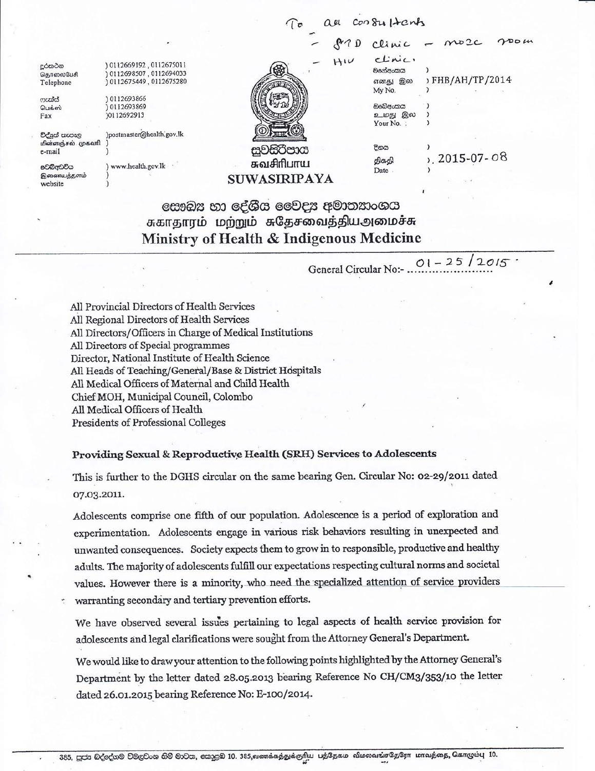$2DDM$  $MDC$ Clinic clinic. 0112669192,0112675011<br>0112698507,0112694033 දුරකථන මහේඅංකය  $\lambda$ தொலைபேசி எனது இல >FHB/AH/TP/2014 0112675449,0112675280 Telephone My No. ) 0112693866 ෆසය් ඔවේඅංකය 0112693869 பெக்ஸ் உமது இல Fax )0112692913  $\lambda$ Your No. : වද්යුත් තැපැල )postmaster@health.gov.lk மின்ளஞ்சல் முகவரி දිනය සුවසරිපාය e-mail 2015-07-08 திகதி சுவசிரிபாய වෙබ්අඩවිය ) www.health.gov.lk Date இணையத்தளம் SUWASIRIPAYA website

## සෞඛ $x$  හා දේශීය වෛදා අමාතනාංශය சுகாதாரம் மற்றும் சுதேசவைத்தியஅமைச்சு Ministry of Health & Indigenous Medicine

 $01 - 25/2015$ General Circular No:- .

au consultants

All Provincial Directors of Health Services All Regional Directors of Health Services All Directors/Officers in Charge of Medical Institutions All Directors of Special programmes Director, National Institute of Health Science All Heads of Teaching/General/Base & District Hospitals All Medical Officers of Maternal and Child Health Chief MOH, Municipal Council, Colombo All Medical Officers of Health Presidents of Professional Colleges

## Providing Sexual & Reproductive Health (SRH) Services to Adolescents

This is further to the DGHS circular on the same bearing Gen. Circular No: 02-29/2011 dated 07.03.2011.

Adolescents comprise one fifth of our population. Adolescence is a period of exploration and experimentation. Adolescents engage in various risk behaviors resulting in unexpected and unwanted consequences. Society expects them to grow in to responsible, productive and healthy adults. The majority of adolescents fulfill our expectations respecting cultural norms and societal values. However there is a minority, who need the specialized attention of service providers warranting secondary and tertiary prevention efforts.

We have observed several issues pertaining to legal aspects of health service provision for adolescents and legal clarifications were sought from the Attorney General's Department.

We would like to draw your attention to the following points highlighted by the Attorney General's Department by the letter dated 28.05.2013 bearing Reference No CH/CM3/353/10 the letter dated 26.01.2015 bearing Reference No: E-100/2014.